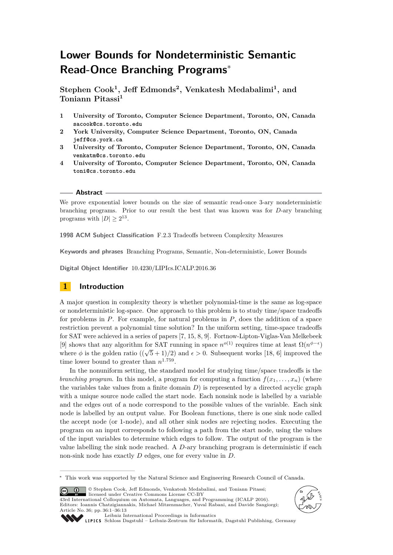# **Lower Bounds for Nondeterministic Semantic Read-Once Branching Programs**<sup>∗</sup>

**Stephen Cook<sup>1</sup> , Jeff Edmonds<sup>2</sup> , Venkatesh Medabalimi<sup>1</sup> , and Toniann Pitassi<sup>1</sup>**

- **1 University of Toronto, Computer Science Department, Toronto, ON, Canada sacook@cs.toronto.edu**
- **2 York University, Computer Science Department, Toronto, ON, Canada jeff@cs.york.ca**
- **3 University of Toronto, Computer Science Department, Toronto, ON, Canada venkatm@cs.toronto.edu**
- **4 University of Toronto, Computer Science Department, Toronto, ON, Canada toni@cs.toronto.edu**

## **Abstract**

We prove exponential lower bounds on the size of semantic read-once 3-ary nondeterministic branching programs. Prior to our result the best that was known was for *D*-ary branching programs with  $|D| \geq 2^{13}$ .

**1998 ACM Subject Classification** F.2.3 Tradeoffs between Complexity Measures

**Keywords and phrases** Branching Programs, Semantic, Non-deterministic, Lower Bounds

**Digital Object Identifier** [10.4230/LIPIcs.ICALP.2016.36](http://dx.doi.org/10.4230/LIPIcs.ICALP.2016.36)

# **1 Introduction**

A major question in complexity theory is whether polynomial-time is the same as log-space or nondeterministic log-space. One approach to this problem is to study time/space tradeoffs for problems in *P*. For example, for natural problems in *P*, does the addition of a space restriction prevent a polynomial time solution? In the uniform setting, time-space tradeoffs for SAT were achieved in a series of papers [\[7,](#page-11-0) [15,](#page-12-0) [8,](#page-11-1) [9\]](#page-11-2). Fortnow-Lipton-Viglas-Van Melkebeek [\[9\]](#page-11-2) shows that any algorithm for SAT running in space  $n^{o(1)}$  requires time at least  $\Omega(n^{\phi-\epsilon})$ where  $\phi$  is the golden ratio  $((\sqrt{5} + 1)/2)$  and  $\epsilon > 0$ . Subsequent works [\[18,](#page-12-1) [6\]](#page-11-3) improved the time lower bound to greater than  $n^{1.759}$ .

In the nonuniform setting, the standard model for studying time/space tradeoffs is the *branching program*. In this model, a program for computing a function  $f(x_1, \ldots, x_n)$  (where the variables take values from a finite domain *D*) is represented by a directed acyclic graph with a unique source node called the start node. Each nonsink node is labelled by a variable and the edges out of a node correspond to the possible values of the variable. Each sink node is labelled by an output value. For Boolean functions, there is one sink node called the accept node (or 1-node), and all other sink nodes are rejecting nodes. Executing the program on an input corresponds to following a path from the start node, using the values of the input variables to determine which edges to follow. The output of the program is the value labelling the sink node reached. A *D*-ary branching program is deterministic if each non-sink node has exactly *D* edges, one for every value in *D*.

© Stephen Cook, Jeff Edmonds, Venkatesh Medabalimi, and Toniann Pitassi;  $\circledcirc$ licensed under Creative Commons License CC-BY 43rd International Colloquium on Automata, Languages, and Programming (ICALP 2016). Editors: Ioannis Chatzigiannakis, Michael Mitzenmacher, Yuval Rabani, and Davide Sangiorgi; Article No. 36; pp. 36:1–36[:13](#page-12-2)





[Leibniz International Proceedings in Informatics](http://www.dagstuhl.de/lipics/)

[Schloss Dagstuhl – Leibniz-Zentrum für Informatik, Dagstuhl Publishing, Germany](http://www.dagstuhl.de)

<sup>∗</sup> This work was supported by the Natural Science and Engineering Research Council of Canada.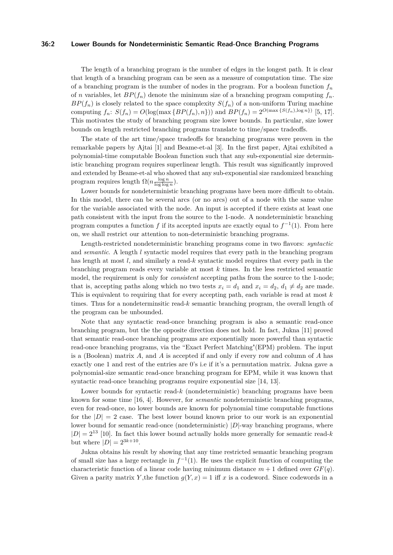#### **36:2 Lower Bounds for Nondeterministic Semantic Read-Once Branching Programs**

The length of a branching program is the number of edges in the longest path. It is clear that length of a branching program can be seen as a measure of computation time. The size of a branching program is the number of nodes in the program. For a boolean function  $f<sub>n</sub>$ of *n* variables, let  $BP(f_n)$  denote the minimum size of a branching program computing  $f_n$ .  $BP(f_n)$  is closely related to the space complexity  $S(f_n)$  of a non-uniform Turing machine computing  $f_n$ :  $S(f_n) = O(\log(\max\{BP(f_n), n\}))$  and  $BP(f_n) = 2^{O(\max\{S(f_n), \log n\})}$  [\[5,](#page-11-4) [17\]](#page-12-3). This motivates the study of branching program size lower bounds. In particular, size lower bounds on length restricted branching programs translate to time/space tradeoffs.

The state of the art time/space tradeoffs for branching programs were proven in the remarkable papers by Ajtai [\[1\]](#page-11-5) and Beame-et-al [\[3\]](#page-11-6). In the first paper, Ajtai exhibited a polynomial-time computable Boolean function such that any sub-exponential size deterministic branching program requires superlinear length. This result was significantly improved and extended by Beame-et-al who showed that any sub-exponential size randomized branching program requires length  $\Omega(n \frac{\log n}{\log \log n})$ .

Lower bounds for nondeterministic branching programs have been more difficult to obtain. In this model, there can be several arcs (or no arcs) out of a node with the same value for the variable associated with the node. An input is accepted if there exists at least one path consistent with the input from the source to the 1-node. A nondeterministic branching program computes a function  $f$  if its accepted inputs are exactly equal to  $f^{-1}(1)$ . From here on, we shall restrict our attention to non-deterministic branching programs.

Length-restricted nondeterministic branching programs come in two flavors: *syntactic* and *semantic*. A length *l* syntactic model requires that every path in the branching program has length at most *l*, and similarly a read-*k* syntactic model requires that every path in the branching program reads every variable at most *k* times. In the less restricted semantic model, the requirement is only for *consistent* accepting paths from the source to the 1-node; that is, accepting paths along which no two tests  $x_i = d_1$  and  $x_i = d_2$ ,  $d_1 \neq d_2$  are made. This is equivalent to requiring that for every accepting path, each variable is read at most *k* times. Thus for a nondeterminsitic read-*k* semantic branching program, the overall length of the program can be unbounded.

Note that any syntactic read-once branching program is also a semantic read-once branching program, but the the opposite direction does not hold. In fact, Jukna [\[11\]](#page-11-7) proved that semantic read-once branching programs are exponentially more powerful than syntactic read-once branching programs, via the "Exact Perfect Matching"(EPM) problem. The input is a (Boolean) matrix *A*, and *A* is accepted if and only if every row and column of *A* has exactly one 1 and rest of the entries are 0's i.e if it's a permutation matrix. Jukna gave a polynomial-size semantic read-once branching program for EPM, while it was known that syntactic read-once branching programs require exponential size [\[14,](#page-12-4) [13\]](#page-12-5).

Lower bounds for syntactic read-*k* (nondeterministic) branching programs have been known for some time [\[16,](#page-12-6) [4\]](#page-11-8). However, for *semantic* nondeterministic branching programs, even for read-once, no lower bounds are known for polynomial time computable functions for the  $|D| = 2$  case. The best lower bound known prior to our work is an exponential lower bound for semantic read-once (nondeterministic)  $|D|$ -way branching programs, where  $|D| = 2^{13}$  [\[10\]](#page-11-9). In fact this lower bound actually holds more generally for semantic read-*k* but where  $|D| = 2^{3k+10}$ .

Jukna obtains his result by showing that any time restricted semantic branching program of small size has a large rectangle in  $f^{-1}(1)$ . He uses the explicit function of computing the characteristic function of a linear code having minimum distance  $m + 1$  defined over  $GF(q)$ . Given a parity matrix *Y*, the function  $g(Y, x) = 1$  iff *x* is a codeword. Since codewords in a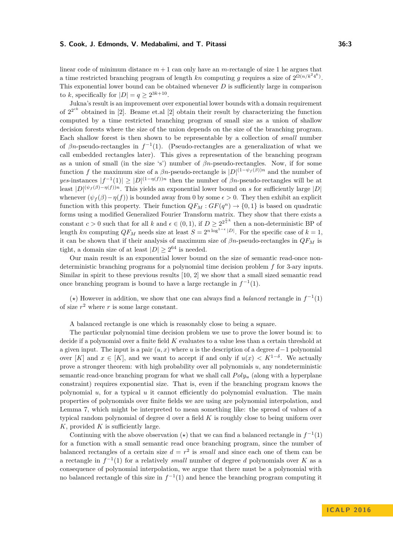linear code of minimum distance  $m+1$  can only have an *m*-rectangle of size 1 he argues that a time restricted branching program of length  $kn$  computing g requires a size of  $2^{\Omega(n/k^2 4^k)}$ . This exponential lower bound can be obtained whenever *D* is sufficiently large in comparison to *k*, specifically for  $|D| = q \ge 2^{3k+10}$ .

Jukna's result is an improvement over exponential lower bounds with a domain requirement of  $2^{2^{ck}}$  obtained in [\[2\]](#page-11-10). Beame et.al [2] obtain their result by characterizing the function computed by a time restricted branching program of small size as a union of shallow decision forests where the size of the union depends on the size of the branching program. Each shallow forest is then shown to be representable by a collection of *small* number of  $\beta n$ -pseudo-rectangles in  $f^{-1}(1)$ . (Pseudo-rectangles are a generalization of what we call embedded rectangles later). This gives a representation of the branching program as a union of small (in the size 's') number of *βn*-pseudo-rectangles. Now, if for some function *f* the maximum size of a  $\beta n$ -pseudo-rectangle is  $|D|^{(1-\psi_f(\beta))n}$  and the number of *yes*-instances  $|f^{-1}(1)| \geq |D|^{(1-\eta(f))n}$  then the number of  $\beta n$ -pseudo-rectangles will be at least  $|D|^{(\psi_f(\beta)-\eta(f))n}$ . This yields an exponential lower bound on *s* for sufficiently large  $|D|$ whenever  $(\psi_f(\beta)-\eta(f))$  is bounded away from 0 by some  $\epsilon > 0$ . They then exhibit an explicit function with this property. Their function  $QF_M : GF(q^n) \to \{0,1\}$  is based on quadratic forms using a modified Generalized Fourier Transform matrix. They show that there exists a constant  $c > 0$  such that for all  $k$  and  $\epsilon \in (0, 1)$ , if  $D \geq 2^{2\frac{c}{\epsilon}k}$  then a non-deterministic BP of length *kn* computing  $QF_M$  needs size at least  $S = 2^{n \log^{1-\epsilon}|D|}$ . For the specific case of  $k = 1$ , it can be shown that if their analysis of maximum size of  $\beta n$ -pseudo-rectangles in  $QF_M$  is tight, a domain size of at least  $|D| \geq 2^{64}$  is needed.

Our main result is an exponential lower bound on the size of semantic read-once nondeterministic branching programs for a polynomial time decision problem *f* for 3-ary inputs. Similar in spirit to these previous results [\[10,](#page-11-9) [2\]](#page-11-10) we show that a small sized semantic read once branching program is bound to have a large rectangle in  $f^{-1}(1)$ .

( $\star$ ) However in addition, we show that one can always find a *balanced* rectangle in  $f^{-1}(1)$ of size  $r^2$  where  $r$  is some large constant.

A balanced rectangle is one which is reasonably close to being a square.

The particular polynomial time decision problem we use to prove the lower bound is: to decide if a polynomial over a finite field *K* evaluates to a value less than a certain threshold at a given input. The input is a pair (*u, x*) where *u* is the description of a degree *d*−1 polynomial over [K] and  $x \in [K]$ , and we want to accept if and only if  $u(x) < K^{1-\delta}$ . We actually prove a stronger theorem: with high probability over all polynomials *u*, any nondeterministic semantic read-once branching program for what we shall call *P oly<sup>u</sup>* (along with a hyperplane constraint) requires exponential size. That is, even if the branching program knows the polynomial *u*, for a typical *u* it cannot efficiently do polynomial evaluation. The main properties of polynomials over finite fields we are using are polynomial interpolation, and Lemma [7,](#page-8-0) which might be interpreted to mean something like: the spread of values of a typical random polynomial of degree d over a field *K* is roughly close to being uniform over *K*, provided *K* is sufficiently large.

Continuing with the above observation  $(\star)$  that we can find a balanced rectangle in  $f^{-1}(1)$ for a function with a small semantic read once branching program, since the number of balanced rectangles of a certain size  $d = r^2$  is *small* and since each one of them can be a rectangle in  $f^{-1}(1)$  for a relatively *small* number of degree *d* polynomials over *K* as a consequence of polynomial interpolation, we argue that there must be a polynomial with no balanced rectangle of this size in  $f^{-1}(1)$  and hence the branching program computing it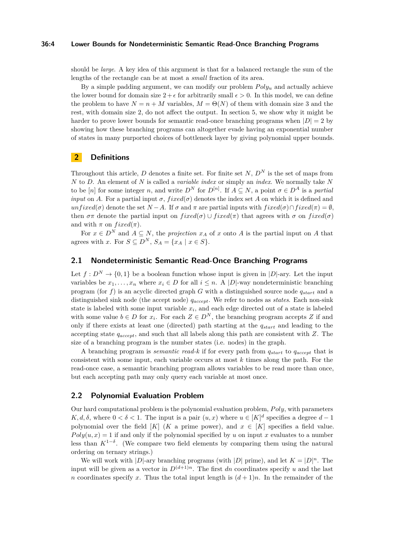## **36:4 Lower Bounds for Nondeterministic Semantic Read-Once Branching Programs**

should be *large*. A key idea of this argument is that for a balanced rectangle the sum of the lengths of the rectangle can be at most a *small* fraction of its area.

By a simple padding argument, we can modify our problem  $Poly_u$  and actually achieve the lower bound for domain size  $2 + \epsilon$  for arbitrarily small  $\epsilon > 0$ . In this model, we can define the problem to have  $N = n + M$  variables,  $M = \Theta(N)$  of them with domain size 3 and the rest, with domain size 2, do not affect the output. In section 5, we show why it might be harder to prove lower bounds for semantic read-once branching programs when  $|D| = 2$  by showing how these branching programs can altogether evade having an exponential number of states in many purported choices of bottleneck layer by giving polynomial upper bounds.

# **2 Definitions**

Throughout this article, *D* denotes a finite set. For finite set *N*,  $D^N$  is the set of maps from *N* to *D*. An element of *N* is called a *variable index* or simply an *index*. We normally take *N* to be  $[n]$  for some integer *n*, and write  $D^N$  for  $D^{[n]}$ . If  $A \subseteq N$ , a point  $\sigma \in D^A$  is a *partial input* on *A*. For a partial input  $\sigma$ , *fixed*( $\sigma$ ) denotes the index set *A* on which it is defined and  $unfixed(\sigma)$  denote the set  $N-A$ . If  $\sigma$  and  $\pi$  are partial inputs with  $fixed(\sigma) \cap fixed(\pi) = \emptyset$ , then  $\sigma \pi$  denote the partial input on  $fixed(\sigma) \cup fixed(\pi)$  that agrees with  $\sigma$  on  $fixed(\sigma)$ and with  $\pi$  on  $fixed(\pi)$ .

For  $x \in D^N$  and  $A \subseteq N$ , the *projection*  $x_A$  of  $x$  onto  $A$  is the partial input on  $A$  that agrees with *x*. For  $S \subseteq D^N$ ,  $S_A = \{x_A \mid x \in S\}.$ 

# **2.1 Nondeterministic Semantic Read-Once Branching Programs**

Let  $f: D^N \to \{0,1\}$  be a boolean function whose input is given in  $|D|$ -ary. Let the input variables be  $x_1, \ldots, x_n$  where  $x_i \in D$  for all  $i \leq n$ . A |D|-way nondeterministic branching program (for *f*) is an acyclic directed graph *G* with a distinguished source node *qstart* and a distinguished sink node (the accept node) *qaccept*. We refer to nodes as *states*. Each non-sink state is labeled with some input variable *x<sup>i</sup>* , and each edge directed out of a state is labeled with some value  $b \in D$  for  $x_i$ . For each  $Z \in D^N$ , the branching program accepts Z if and only if there exists at least one (directed) path starting at the *qstart* and leading to the accepting state *qaccept*, and such that all labels along this path are consistent with *Z*. The size of a branching program is the number states (i.e. nodes) in the graph.

A branching program is *semantic read-k* if for every path from *qstart* to *qaccept* that is consistent with some input, each variable occurs at most *k* times along the path. For the read-once case, a semantic branching program allows variables to be read more than once, but each accepting path may only query each variable at most once.

# **2.2 Polynomial Evaluation Problem**

Our hard computational problem is the polynomial evaluation problem, *P oly*, with parameters *K, d, δ*, where  $0 < \delta < 1$ . The input is a pair  $(u, x)$  where  $u \in [K]^d$  specifies a degree  $d-1$ polynomial over the field [*K*] (*K* a prime power), and  $x \in [K]$  specifies a field value.  $Poly(u, x) = 1$  if and only if the polynomial specified by *u* on input *x* evaluates to a number less than  $K^{1-\delta}$ . (We compare two field elements by comparing them using the natural ordering on ternary strings.)

We will work with  $|D|$ -ary branching programs (with  $|D|$  prime), and let  $K = |D|^n$ . The input will be given as a vector in  $D^{(d+1)n}$ . The first dn coordinates specify u and the last *n* coordinates specify *x*. Thus the total input length is  $(d+1)n$ . In the remainder of the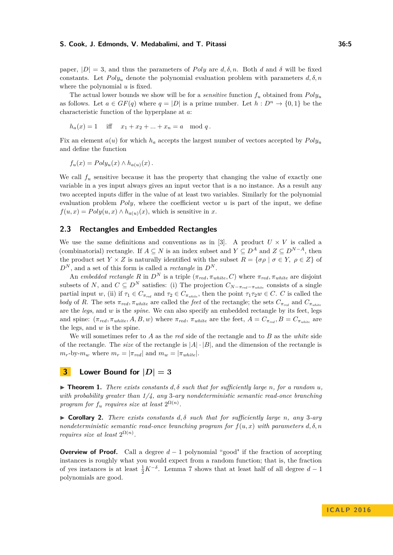paper,  $|D| = 3$ , and thus the parameters of *Poly* are  $d, \delta, n$ . Both *d* and  $\delta$  will be fixed constants. Let  $Poly_u$  denote the polynomial evaluation problem with parameters  $d, \delta, n$ where the polynomial *u* is fixed.

The actual lower bounds we show will be for a *sensitive* function  $f_u$  obtained from  $Poly_u$ as follows. Let  $a \in GF(q)$  where  $q = |D|$  is a prime number. Let  $h : D^n \to \{0,1\}$  be the characteristic function of the hyperplane at *a*:

$$
h_a(x) = 1
$$
 iff  $x_1 + x_2 + ... + x_n = a \mod q$ .

Fix an element  $a(u)$  for which  $h_a$  accepts the largest number of vectors accepted by  $Poly_u$ and define the function

$$
f_u(x) = Poly_u(x) \wedge h_{a(u)}(x).
$$

We call  $f_u$  sensitive because it has the property that changing the value of exactly one variable in a yes input always gives an input vector that is a no instance. As a result any two accepted inputs differ in the value of at least two variables. Similarly for the polynomial evaluation problem  $Poly$ , where the coefficient vector  $u$  is part of the input, we define  $f(u, x) = Poly(u, x) \wedge h_{a(u)}(x)$ , which is sensitive in *x*.

# **2.3 Rectangles and Embedded Rectangles**

We use the same definitions and conventions as in [\[3\]](#page-11-6). A product  $U \times V$  is called a (combinatorial) rectangle. If  $A \subseteq N$  is an index subset and  $Y \subseteq D^A$  and  $Z \subseteq D^{N-A}$ , then the product set  $Y \times Z$  is naturally identified with the subset  $R = {\sigma \rho \mid \sigma \in Y, \ \rho \in Z}$  of  $D^N$ , and a set of this form is called a *rectangle* in  $D^N$ .

An *embedded rectangle R* in  $D^N$  is a triple  $(\pi_{red}, \pi_{white}, C)$  where  $\pi_{red}, \pi_{white}$  are disjoint subsets of *N*, and  $C \subseteq D^N$  satisfies: (i) The projection  $C_{N-\pi_{red}-\pi_{white}}$  consists of a single partial input *w*, (ii) if  $\tau_1 \in C_{\pi_{red}}$  and  $\tau_2 \in C_{\pi_{white}}$ , then the point  $\tau_1 \tau_2 w \in C$ . *C* is called the *body* of *R*. The sets  $\pi_{red}$ ,  $\pi_{white}$  are called the *feet* of the rectangle; the sets  $C_{\pi_{red}}$  and  $C_{\pi_{white}}$ are the *legs*, and *w* is the *spine*. We can also specify an embedded rectangle by its feet, legs and spine:  $(\pi_{red}, \pi_{white}, A, B, w)$  where  $\pi_{red}, \pi_{white}$  are the feet,  $A = C_{\pi_{red}}, B = C_{\pi_{white}}$  are the legs, and *w* is the spine.

We will sometimes refer to *A* as the *red* side of the rectangle and to *B* as the *white* side of the rectangle. The *size* of the rectangle is  $|A| \cdot |B|$ , and the dimension of the rectangle is  $m_r$ -by- $m_w$  where  $m_r = |\pi_{red}|$  and  $m_w = |\pi_{white}|$ .

# **3 Lower Bound for**  $|D| = 3$

 $\triangleright$  **Theorem 1.** *There exists constants*  $d, \delta$  *such that for sufficiently large n, for a random u, with probability greater than 1/4, any* 3*-ary nondeterministic semantic read-once branching program for*  $f_u$  *requires size at least*  $2^{\Omega(n)}$ *.* 

 $\triangleright$  **Corollary 2.** *There exists constants*  $d, \delta$  *such that for sufficiently large n, any* 3*-ary nondeterministic semantic read-once branching program for*  $f(u, x)$  *with parameters*  $d, \delta, n$ *requires size at least*  $2^{\Omega(n)}$ *.* 

**Overview of Proof.** Call a degree  $d-1$  polynomial "good" if the fraction of accepting instances is roughly what you would expect from a random function; that is, the fraction of yes instances is at least  $\frac{1}{2}K^{-\delta}$ . Lemma [7](#page-8-0) shows that at least half of all degree  $d-1$ polynomials are good.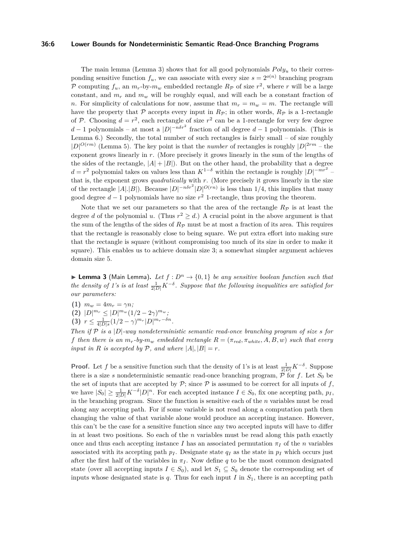#### **36:6 Lower Bounds for Nondeterministic Semantic Read-Once Branching Programs**

The main lemma (Lemma [3\)](#page-5-0) shows that for all good polynomials  $Poly<sub>u</sub>$  to their corresponding sensitive function  $f_u$ , we can associate with every size  $s = 2^{o(n)}$  branching program P computing  $f_u$ , an  $m_r$ -by- $m_w$  embedded rectangle  $R_p$  of size  $r^2$ , where  $r$  will be a large constant, and  $m_r$  and  $m_w$  will be roughly equal, and will each be a constant fraction of *n*. For simplicity of calculations for now, assume that  $m_r = m_w = m$ . The rectangle will have the property that P accepts every input in  $R_{\mathcal{P}}$ ; in other words,  $R_{\mathcal{P}}$  is a 1-rectangle of P. Choosing  $d = r^2$ , each rectangle of size  $r^2$  can be a 1-rectangle for very few degree *d* − 1 polynomials – at most a  $|D|^{-n\delta r^2}$  fraction of all degree *d* − 1 polynomials. (This is Lemma  $6$ .) Secondly, the total number of such rectangles is fairly small – of size roughly  $|D|^{O(rm)}$  (Lemma [5\)](#page-7-0). The key point is that the *number* of rectangles is roughly  $|D|^{2rm}$  – the exponent grows linearly in *r*. (More precisely it grows linearly in the sum of the lengths of the sides of the rectangle,  $|A| + |B|$ ). But on the other hand, the probability that a degree  $d = r^2$  polynomial takes on values less than  $K^{1-\delta}$  within the rectangle is roughly  $|D|^{-mr^2}$ that is, the exponent grows *quadratically* with *r*. (More precisely it grows linearly in the size of the rectangle  $|A|$ .  $|B|$ ). Because  $|D|^{-n\delta r^2} |D|^{O(rn)}$  is less than 1/4, this implies that many good degree *d* − 1 polynomials have no size *r* <sup>2</sup> 1-rectangle, thus proving the theorem.

Note that we set our parameters so that the area of the rectangle  $R_{\mathcal{P}}$  is at least the degree *d* of the polynomial *u*. (Thus  $r^2 \ge d$ .) A crucial point in the above argument is that the sum of the lengths of the sides of  $R_p$  must be at most a fraction of its area. This requires that the rectangle is reasonably close to being square. We put extra effort into making sure that the rectangle is square (without compromising too much of its size in order to make it square). This enables us to achieve domain size 3; a somewhat simpler argument achieves domain size 5.

<span id="page-5-0"></span>**Lemma 3** (Main Lemma). Let  $f: D^n \to \{0,1\}$  be any sensitive boolean function such that *the density of 1's is at least*  $\frac{1}{2|D|}K^{-\delta}$ . Suppose that the following inequalities are satisfied for *our parameters:*

- **(1)**  $m_w = 4m_r = \gamma n;$
- $(D)$   $|D|^{m_r} \leq |D|^{m_w} (1/2 2\gamma)^{m_w};$
- **(3)**  $r \leq \frac{1}{4|D|s}(1/2-\gamma)^{m_r}|D|^{m_r-\delta n}$ .

*Then if* P *is a* |*D*|*-way nondeterministic semantic read-once branching program of size s for f* then there is an  $m_r$ -by- $m_w$  embedded rectangle  $R = (\pi_{red}, \pi_{white}, A, B, w)$  such that every *input in R is accepted by*  $P$ *, and where*  $|A|$ *,*  $|B| = r$ *.* 

**Proof.** Let *f* be a sensitive function such that the density of 1's is at least  $\frac{1}{2|D|}K^{-\delta}$ . Suppose there is a size *s* nondeterministic semantic read-once branching program,  $\tilde{P}$  for *f*. Let  $S_0$  be the set of inputs that are accepted by  $P$ ; since  $P$  is assumed to be correct for all inputs of  $f$ , we have  $|S_0| \geq \frac{1}{2|D|} K^{-\delta} |D|^n$ . For each accepted instance  $I \in S_0$ , fix one accepting path,  $p_I$ , in the branching program. Since the function is sensitive each of the *n* variables must be read along any accepting path. For if some variable is not read along a computation path then changing the value of that variable alone would produce an accepting instance. However, this can't be the case for a sensitive function since any two accepted inputs will have to differ in at least two positions. So each of the *n* variables must be read along this path exactly once and thus each accepting instance *I* has an associated permutation  $\pi$ *I* of the *n* variables associated with its accepting path  $p_I$ . Designate state  $q_I$  as the state in  $p_I$  which occurs just after the first half of the variables in  $\pi$ <sub>*I*</sub>. Now define *q* to be the most common designated state (over all accepting inputs  $I \in S_0$ ), and let  $S_1 \subseteq S_0$  denote the corresponding set of inputs whose designated state is  $q$ . Thus for each input  $I$  in  $S_1$ , there is an accepting path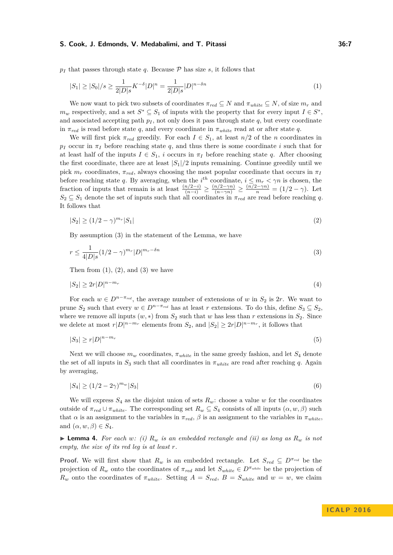$p_I$  that passes through state *q*. Because  $\mathcal P$  has size *s*, it follows that

<span id="page-6-0"></span>
$$
|S_1| \ge |S_0|/s \ge \frac{1}{2|D|s} K^{-\delta} |D|^n = \frac{1}{2|D|s} |D|^{n-\delta n}
$$
\n<sup>(1)</sup>

We now want to pick two subsets of coordinates  $\pi_{red} \subseteq N$  and  $\pi_{white} \subseteq N$ , of size  $m_r$  and  $m_w$  respectively, and a set  $S^* \subseteq S_1$  of inputs with the property that for every input  $I \in S^*$ , and associated accepting path  $p_I$ , not only does it pass through state  $q$ , but every coordinate in  $\pi_{red}$  is read before state *q*, and every coordinate in  $\pi_{white}$  read at or after state *q*.

We will first pick  $\pi_{red}$  greedily. For each  $I \in S_1$ , at least  $n/2$  of the *n* coordinates in  $p_I$  occur in  $\pi_I$  before reaching state *q*, and thus there is some coordinate *i* such that for at least half of the inputs  $I \in S_1$ , *i* occurs in  $\pi_I$  before reaching state *q*. After choosing the first coordinate, there are at least  $|S_1|/2$  inputs remaining. Continue greedily until we pick  $m_r$  coordinates,  $\pi_{red}$ , always choosing the most popular coordinate that occurs in  $\pi_I$ before reaching state q. By averaging, when the  $i^{th}$  coordinate,  $i \leq m_r < \gamma n$  is chosen, the fraction of inputs that remain is at least  $\frac{(n/2-i)}{(n-i)} \ge \frac{(n/2-\gamma n)}{(n-\gamma n)} \ge \frac{(n/2-\gamma n)}{n} = (1/2-\gamma)$ . Let  $S_2 \subseteq S_1$  denote the set of inputs such that all coordinates in  $\pi_{red}$  are read before reaching *q*. It follows that

<span id="page-6-2"></span><span id="page-6-1"></span>
$$
|S_2| \ge (1/2 - \gamma)^{m_r} |S_1| \tag{2}
$$

By assumption (3) in the statement of the Lemma, we have

$$
r \le \frac{1}{4|D|s} (1/2 - \gamma)^{m_r} |D|^{m_r - \delta n} \tag{3}
$$

Then from  $(1)$ ,  $(2)$ , and  $(3)$  we have

$$
|S_2| \ge 2r|D|^{n-m_r} \tag{4}
$$

For each  $w \in D^{n-\pi_{red}}$ , the average number of extensions of *w* in  $S_2$  is 2*r*. We want to prune  $S_2$  such that every  $w \in D^{n-\pi_{red}}$  has at least *r* extensions. To do this, define  $S_3 \subseteq S_2$ , where we remove all inputs  $(w, *)$  from  $S_2$  such that  $w$  has less than  $r$  extensions in  $S_2$ . Since we delete at most  $r|D|^{n-m_r}$  elements from  $S_2$ , and  $|S_2| \geq 2r|D|^{n-m_r}$ , it follows that

$$
|S_3| \ge r|D|^{n-m_r} \tag{5}
$$

Next we will choose  $m_w$  coordinates,  $\pi_{white}$  in the same greedy fashion, and let  $S_4$  denote the set of all inputs in  $S_3$  such that all coordinates in  $\pi_{white}$  are read after reaching q. Again by averaging,

$$
|S_4| \ge (1/2 - 2\gamma)^{m_w} |S_3| \tag{6}
$$

We will express  $S_4$  as the disjoint union of sets  $R_w$ : choose a value w for the coordinates outside of  $\pi_{red} \cup \pi_{white}$ . The corresponding set  $R_w \subseteq S_4$  consists of all inputs  $(\alpha, w, \beta)$  such that  $\alpha$  is an assignment to the variables in  $\pi_{red}$ ,  $\beta$  is an assignment to the variables in  $\pi_{white}$ , and  $(\alpha, w, \beta) \in S_4$ .

**Example 4.** For each w: (i)  $R_w$  is an embedded rectangle and (ii) as long as  $R_w$  is not *empty, the size of its red leg is at least r.*

**Proof.** We will first show that  $R_w$  is an embedded rectangle. Let  $S_{red} \subseteq D^{\pi_{red}}$  be the projection of  $R_w$  onto the coordinates of  $\pi_{red}$  and let  $S_{white} \in D^{\pi_{white}}$  be the projection of *R*<sup>*w*</sup> onto the coordinates of  $\pi_{white}$ . Setting  $A = S_{red}$ ,  $B = S_{white}$  and  $w = w$ , we claim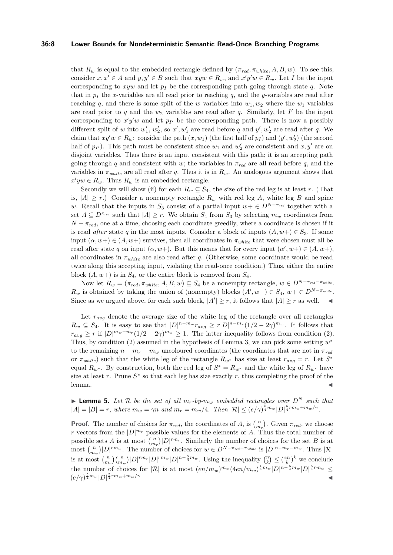## **36:8 Lower Bounds for Nondeterministic Semantic Read-Once Branching Programs**

that  $R_w$  is equal to the embedded rectangle defined by  $(\pi_{red}, \pi_{white}, A, B, w)$ . To see this, consider  $x, x' \in A$  and  $y, y' \in B$  such that  $xyw \in R_w$ , and  $x'y'w \in R_w$ . Let *I* be the input corresponding to  $xyw$  and let  $p<sub>I</sub>$  be the corresponding path going through state *q*. Note that in  $p_I$  the *x*-variables are all read prior to reaching  $q$ , and the *y*-variables are read after reaching q, and there is some split of the w variables into  $w_1, w_2$  where the  $w_1$  variables are read prior to  $q$  and the  $w_2$  variables are read after  $q$ . Similarly, let  $I'$  be the input corresponding to  $x'y'w$  and let  $p_{I'}$  be the corresponding path. There is now a possibly different split of *w* into  $w'_1$ ,  $w'_2$ , so  $x'$ ,  $w'_1$  are read before *q* and  $y'$ ,  $w'_2$  are read after *q*. We claim that  $xy'w \in R_w$ : consider the path  $(x, w_1)$  (the first half of  $p_I$ ) and  $(y', w'_2)$  (the second half of  $p_I$ ). This path must be consistent since  $w_1$  and  $w_2'$  are consistent and  $x, y'$  are on disjoint variables. Thus there is an input consistent with this path; it is an accepting path going through *q* and consistent with *w*; the variables in  $\pi_{red}$  are all read before *q*, and the variables in  $\pi_{white}$  are all read after *q*. Thus it is in  $R_w$ . An analogous argument shows that  $x'yw \in R_w$ . Thus  $R_w$  is an embedded rectangle.

Secondly we will show (ii) for each  $R_w \subseteq S_4$ , the size of the red leg is at least *r*. (That is,  $|A| \ge r$ .) Consider a nonempty rectangle  $R_w$  with red leg A, white leg B and spine *w*. Recall that the inputs in  $S_3$  consist of a partial input  $w + \in D^{N-\pi_{red}}$  together with a set  $A \subseteq D^{\pi_{red}}$  such that  $|A| \geq r$ . We obtain  $S_4$  from  $S_3$  by selecting  $m_w$  coordinates from  $N - \pi_{red}$ , one at a time, choosing each coordinate greedily, where a coordinate is chosen if it is read *after* state *q* in the most inputs. Consider a block of inputs  $(A, w+) \in S_3$ . If some input  $(\alpha, w+) \in (A, w+)$  survives, then all coordinates in  $\pi_{white}$  that were chosen must all be read after state q on input  $(\alpha, w+)$ . But this means that for every input  $(\alpha', w+) \in (A, w+)$ , all coordinates in  $\pi_{white}$  are also read after *q*. (Otherwise, some coordinate would be read twice along this accepting input, violating the read-once condition.) Thus, either the entire block  $(A, w+)$  is in  $S_4$ , or the entire block is removed from  $S_4$ .

Now let  $R_w = (\pi_{red}, \pi_{white}, A, B, w) \subseteq S_4$  be a nonempty rectangle,  $w \in D^{N - \pi_{red} - \pi_{white}}$ . *R*<sup>*w*</sup> is obtained by taking the union of (nonempty) blocks  $(A', w+) \in S_4$ ,  $w + \in D^{N-\pi_{white}}$ . Since as we argued above, for each such block,  $|A'| \ge r$ , it follows that  $|A| \ge r$  as well.

Let  $r_{avg}$  denote the average size of the white leg of the rectangle over all rectangles  $R_w \subseteq S_4$ . It is easy to see that  $|D|^{n-m_w} r_{avg} \ge r|D|^{n-m_r}(1/2-2\gamma)^{m_w}$ . It follows that  $r_{avg} \geq r$  if  $|D|^{m_w-m_r}(1/2-2\gamma)^{m_w} \geq 1$ . The latter inequality follows from condition (2). Thus, by condition (2) assumed in the hypothesis of Lemma [3,](#page-5-0) we can pick some setting  $w^*$ to the remaining  $n - m_r - m_w$  uncoloured coordinates (the coordinates that are not in  $\pi_{red}$ ) or  $\pi_{white}$  such that the white leg of the rectangle  $R_{w^*}$  has size at least  $r_{avg} = r$ . Let  $S^*$ equal  $R_{w^*}$ . By construction, both the red leg of  $S^* = R_{w^*}$  and the white leg of  $R_{w^*}$  have size at least  $r$ . Prune  $S^*$  so that each leg has size exactly  $r$ , thus completing the proof of the  $l$ emma.

<span id="page-7-0"></span>**I Lemma 5.** Let R be the set of all  $m_r$ -by- $m_w$  embedded rectangles over  $D^N$  such that  $|A|=|B|=r$ , where  $m_w=\gamma n$  and  $m_r=m_w/4$ . Then  $|\mathcal{R}|\leq (e/\gamma)^{\frac{5}{4}m_w}|D|^{\frac{5}{4}rm_w+m_w/\gamma}$ .

**Proof.** The number of choices for  $\pi_{red}$ , the coordinates of *A*, is  $\binom{n}{m_r}$ . Given  $\pi_{red}$ , we choose *r* vectors from the  $|D|^{m_r}$  possible values for the elements of *A*. Thus the total number of possible sets *A* is at most  $\binom{n}{m_r}$   $D\vert^{rm_r}$ . Similarly the number of choices for the set *B* is at most  $\binom{n}{m_w}|D|^{rm_w}$ . The number of choices for  $w \in D^{N-\pi_{red}-\pi_{white}}$  is  $|D|^{n-m_r-m_w}$ . Thus  $|\mathcal{R}|$ is at most  $\binom{n}{m_r}\binom{n}{m_w}|D|^{rm_r}|D|^{rm_w}|D|^{n-\frac{5}{4}m_w}$ . Using the inequality  $\binom{n}{k} \leq (\frac{en}{k})^k$  we conclude the number of choices for  $|\mathcal{R}|$  is at most  $(en/m_w)^{m_w}(4en/m_w)^{\frac{1}{4}m_w}|D|^{n-\frac{5}{4}m_w}|D|^{\frac{5}{4}rm_w} \leq$  $(e/\gamma)^{\frac{5}{4}m_w} |D|^{\frac{5}{4}rm_w+m_w/\gamma}$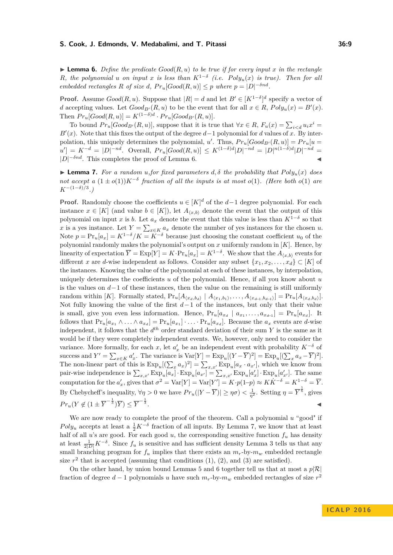<span id="page-8-1"></span>**I Lemma 6.** Define the predicate  $Good(R, u)$  to be true if for every input x in the rectangle *R,* the polynomial *u* on input *x* is less than  $K^{1-\delta}$  (i.e.  $Poly_u(x)$  is true). Then for all *embedded rectangles R of size d*,  $Pr_u[Good(R, u)] \leq p$  *where*  $p = |D|^{-\delta nd}$ *.* 

**Proof.** Assume  $Good(R, u)$ . Suppose that  $|R| = d$  and let  $B' \in [K^{1-\delta}]^d$  specify a vector of *d* accepting values. Let  $Good_{B'}(R, u)$  to be the event that for all  $x \in R$ ,  $Poly_u(x) = B'(x)$ . Then  $Pr_u[Good(R, u)] = K^{(1-\delta)d} \cdot Pr_u[Good_{B'}(R, u)].$ 

To bound  $Pr_u[Good_{B'}(R, u)]$ , suppose that it is true that  $\forall x \in R$ ,  $F_u(x) = \sum_{i \le d} u_i x^i$  $B'(x)$ . Note that this fixes the output of the degree  $d-1$  polynomial for *d* values of *x*. By interpolation, this uniquely determines the polynomial, *u'*. Thus,  $Pr_u[Good_{B'}(R, u)] = Pr_u[u =$  $u' = K^{-d} = |D|^{-nd}$ . Overall,  $Pr_u[Good(R, u)] \leq K^{(1-\delta)d} |D|^{-nd} = |D|^{n(1-\delta)d} |D|^{-nd} =$  $|D|^{-\delta nd}$ . This completes the proof of Lemma [6.](#page-8-1)

<span id="page-8-0"></span>**Example 7.** For a random *u*, for fixed parameters  $d, \delta$  the probability that  $Poly_u(x)$  does *not accept a*  $(1 \pm o(1))K^{-\delta}$  *fraction of all the inputs is at most*  $o(1)$ *. (Here both*  $o(1)$  *are K*−(1−*δ*)*/*<sup>3</sup> *.)*

**Proof.** Randomly choose the coefficients  $u \in [K]^d$  of the  $d-1$  degree polynomial. For each instance  $x \in [K]$  (and value  $b \in [K]$ ), let  $A_{\langle x,b \rangle}$  denote the event that the output of this polynomial on input *x* is *b*. Let  $a_x$  denote the event that this value is less than  $K^{1-\delta}$  so that *x* is a yes instance. Let  $Y = \sum_{x \in K} a_x$  denote the number of yes instances for the chosen *u*. Note  $p = Pr_u[a_x] = K^{1-\delta}/K = K^{-\delta}$  because just choosing the constant coefficient  $u_0$  of the polynomial randomly makes the polynomial's output on *x* uniformly random in [*K*]. Hence, by linearity of expectation  $\overline{Y} = \text{Exp}[Y] = K \cdot \text{Pr}_u[a_x] = K^{1-\delta}$ . We show that the  $A_{\langle x,b \rangle}$  events for different *x* are *d*-wise independent as follows. Consider any subset  $\{x_1, x_2, \ldots, x_d\} \subset [K]$  of the instances. Knowing the value of the polynomial at each of these instances, by interpolation, uniquely determines the coefficients *u* of the polynomial. Hence, if all you know about *u* is the values on *d*−1 of these instances, then the value on the remaining is still uniformly random within [K]. Formally stated,  $Pr_u[A_{(x_d,b_d)} | A_{(x_1,b_1)}, \ldots, A_{(x_{d-1},b_{d-1})}] = Pr_u[A_{(x_d,b_d)}].$ Not fully knowing the value of the first *d*−1 of the instances, but only that their value is small, give you even less information. Hence,  $Pr_u[a_{x_d} \mid a_{x_1}, \ldots, a_{x_{d-1}}] = Pr_u[a_{x_d}]$ . It follows that  $Pr_u[a_{x_1} \wedge \ldots \wedge a_{x_d}] = Pr_u[a_{x_1}] \cdot \ldots \cdot Pr_u[a_{x_d}]$ . Because the  $a_x$  events are d-wise independent, it follows that the  $d^{th}$  order standard deviation of their sum Y is the same as it would be if they were completely independent events. We, however, only need to consider the variance. More formally, for each *x*, let  $a'_x$  be an independent event with probability  $K^{-\delta}$  of success and  $Y' = \sum_{x \in K} a'_x$ . The variance is  $Var[Y] = Exp_u[(Y - \overline{Y})^2] = Exp_u[(\sum_x a_x - \overline{Y})^2]$ . The non-linear part of this is  $\exp_u[(\sum_x a_x)^2] = \sum_{x,x'} \exp_u[a_x \cdot a_{x'}],$  which we know from pair-wise independence is  $\sum_{x,x'} \text{Exp}_u[a_x] \cdot \text{Exp}_u[a_{x'}] = \sum_{x,x'} \text{Exp}_u[a'_x] \cdot \text{Exp}_u[a'_{x'}]$ . The same computation for the  $a'_x$ , gives that  $\sigma^2 = \text{Var}[Y] = \text{Var}[Y'] = K \cdot p(1-p) \approx K \dot{K}^{-\delta} = K^{1-\delta} = \overline{Y}$ . By Chebycheff's inequality,  $\forall \eta > 0$  we have  $Pr_u(|Y - \overline{Y})| \geq \eta \sigma$ )  $\lt \frac{1}{\eta^2}$ . Setting  $\eta = \overline{Y}^{\frac{1}{6}}$ , gives  $Pr_u(Y \notin (1 \pm \overline{Y}^{-\frac{1}{3}})\overline{Y}) \leq \overline{Y}^{-\frac{1}{3}}$ . John Stein Stein Stein Stein Stein Stein Stein Stein Stein Stein Stein Stein Stein Stein Stein Stein Stein S<br>Der Stein Stein Stein Stein Stein Stein Stein Stein Stein Stein Stein Stein Stein Stein Stein Stein Stein Stei

We are now ready to complete the proof of the theorem. Call a polynomial *u* "good" if  $Poly_u$  accepts at least a  $\frac{1}{2}K^{-\delta}$  fraction of all inputs. By Lemma [7,](#page-8-0) we know that at least half of all *u*'s are good. For each good *u*, the corresponding sensitive function  $f_u$  has density at least  $\frac{1}{2|D|}K^{-\delta}$ . Since  $f_u$  is sensitive and has sufficient density Lemma [3](#page-5-0) tells us that any small branching program for  $f_u$  implies that there exists an  $m_r$ -by- $m_w$  embedded rectangle size  $r^2$  that is accepted (assuming that conditions  $(1)$ ,  $(2)$ , and  $(3)$  are satisfied).

On the other hand, by union bound Lemmas [5](#page-7-0) and [6](#page-8-1) together tell us that at most a  $p|\mathcal{R}|$ fraction of degree  $d-1$  polynomials *u* have such  $m_r$ -by- $m_w$  embedded rectangles of size  $r^2$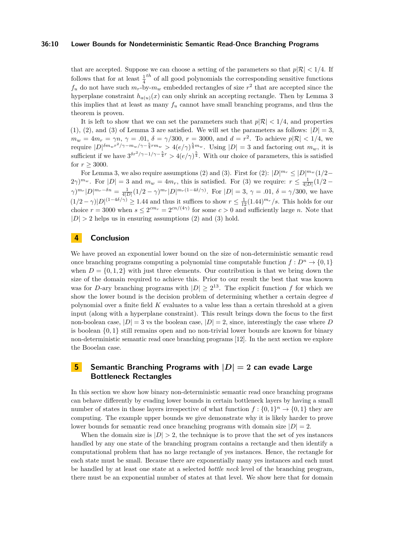## **36:10 Lower Bounds for Nondeterministic Semantic Read-Once Branching Programs**

that are accepted. Suppose we can choose a setting of the parameters so that  $p|\mathcal{R}| < 1/4$ . If follows that for at least  $\frac{1}{4}$ <sup>th</sup> of all good polynomials the corresponding sensitive functions  $f_u$  do not have such  $m_r$ -by- $m_w$  embedded rectangles of size  $r^2$  that are accepted since the hyperplane constraint  $h_{a(u)}(x)$  can only shrink an accepting rectangle. Then by Lemma [3](#page-5-0) this implies that at least as many *f<sup>u</sup>* cannot have small branching programs, and thus the theorem is proven.

It is left to show that we can set the parameters such that  $p|\mathcal{R}| < 1/4$ , and properties (1), (2), and (3) of Lemma [3](#page-5-0) are satisfied. We will set the parameters as follows:  $|D| = 3$ ,  $m_w = 4m_r = \gamma n, \, \gamma = .01, \, \delta = \gamma/300, \, r = 3000, \, \text{and} \, d = r^2$ . To achieve  $p|\mathcal{R}| < 1/4$ , we require  $|D|^{\delta m_w r^2/\gamma - m_w/\gamma - \frac{5}{4}rm_w} > 4(e/\gamma)^{\frac{5}{4}m_w}$ . Using  $|D| = 3$  and factoring out  $m_w$ , it is sufficient if we have  $3^{\delta r^2/\gamma - 1/\gamma - \frac{5}{4}r} > 4(e/\gamma)^{\frac{5}{4}}$ . With our choice of parameters, this is satisfied for  $r > 3000$ .

For Lemma [3,](#page-5-0) we also require assumptions (2) and (3). First for (2):  $|D|^{m_r} \leq |D|^{m_w} (1/2 (2\gamma)^{m_w}$ . For  $|D| = 3$  and  $m_w = 4m_r$ , this is satisfied. For (3) we require:  $r \leq \frac{1}{4|D|}(1/2 - 4m_r)$  $\gamma)^{m_r}|D|^{m_r-\delta n}=\frac{1}{4|D|}(1/2-\gamma)^{m_r}|D|^{m_r(1-4\delta/\gamma)}$ . For  $|D|=3$ ,  $\gamma=.01$ ,  $\delta=\gamma/300$ , we have  $(1/2 - \gamma)|D|^{(1-4\delta/\gamma)} \geq 1.44$  and thus it suffices to show  $r \leq \frac{1}{12}(1.44)^{m_r}/s$ . This holds for our choice  $r = 3000$  when  $s \leq 2^{cm_r} = 2^{cn/(4\gamma)}$  for some  $c > 0$  and sufficiently large *n*. Note that  $|D| > 2$  helps us in ensuring assumptions (2) and (3) hold.

# **4 Conclusion**

We have proved an exponential lower bound on the size of non-deterministic semantic read once branching programs computing a polynomial time computable function  $f: D^n \to \{0,1\}$ when  $D = \{0, 1, 2\}$  with just three elements. Our contribution is that we bring down the size of the domain required to achieve this. Prior to our result the best that was known was for *D*-ary branching programs with  $|D| \geq 2^{13}$ . The explicit function *f* for which we show the lower bound is the decision problem of determining whether a certain degree *d* polynomial over a finite field *K* evaluates to a value less than a certain threshold at a given input (along with a hyperplane constraint). This result brings down the focus to the first non-boolean case,  $|D| = 3$  vs the boolean case,  $|D| = 2$ , since, interestingly the case where *D* is boolean {0*,* 1} still remains open and no non-trivial lower bounds are known for binary non-deterministic semantic read once branching programs [\[12\]](#page-11-11). In the next section we explore the Booelan case.

# **5 Semantic Branching Programs with |***D***| = 2 can evade Large Bottleneck Rectangles**

In this section we show how binary non-deterministic semantic read once branching programs can behave differently by evading lower bounds in certain bottleneck layers by having a small number of states in those layers irrespective of what function  $f: \{0,1\}^n \to \{0,1\}$  they are computing. The example upper bounds we give demonstrate why it is likely harder to prove lower bounds for semantic read once branching programs with domain size  $|D| = 2$ .

When the domain size is  $|D| > 2$ , the technique is to prove that the set of yes instances handled by any one state of the branching program contains a rectangle and then identify a computational problem that has no large rectangle of yes instances. Hence, the rectangle for each state must be small. Because there are exponentially many yes instances and each must be handled by at least one state at a selected *bottle neck* level of the branching program, there must be an exponential number of states at that level. We show here that for domain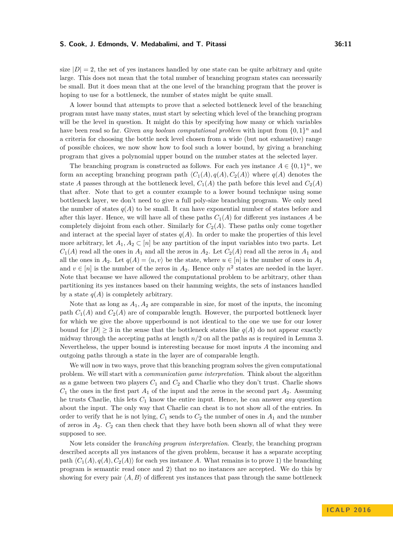size  $|D| = 2$ , the set of yes instances handled by one state can be quite arbitrary and quite large. This does not mean that the total number of branching program states can necessarily be small. But it does mean that at the one level of the branching program that the prover is hoping to use for a bottleneck, the number of states might be quite small.

A lower bound that attempts to prove that a selected bottleneck level of the branching program must have many states, must start by selecting which level of the branching program will be the level in question. It might do this by specifying how many or which variables have been read so far. Given *any boolean computational problem* with input from  $\{0,1\}^n$  and a criteria for choosing the bottle neck level chosen from a wide (but not exhaustive) range of possible choices, we now show how to fool such a lower bound, by giving a branching program that gives a polynomial upper bound on the number states at the selected layer.

The branching program is constructed as follows. For each yes instance  $A \in \{0,1\}^n$ , we form an accepting branching program path  $\langle C_1(A), q(A), C_2(A) \rangle$  where  $q(A)$  denotes the state *A* passes through at the bottleneck level,  $C_1(A)$  the path before this level and  $C_2(A)$ that after. Note that to get a counter example to a lower bound technique using some bottleneck layer, we don't need to give a full poly-size branching program. We only need the number of states  $q(A)$  to be small. It can have exponential number of states before and after this layer. Hence, we will have all of these paths  $C_1(A)$  for different yes instances A be completely disjoint from each other. Similarly for  $C_2(A)$ . These paths only come together and interact at the special layer of states  $q(A)$ . In order to make the properties of this level more arbitrary, let  $A_1, A_2 \subset [n]$  be any partition of the input variables into two parts. Let  $C_1(A)$  read all the ones in  $A_1$  and all the zeros in  $A_2$ . Let  $C_2(A)$  read all the zeros in  $A_1$  and all the ones in  $A_2$ . Let  $q(A) = \langle u, v \rangle$  be the state, where  $u \in [n]$  is the number of ones in  $A_1$ and  $v \in [n]$  is the number of the zeros in  $A_2$ . Hence only  $n^2$  states are needed in the layer. Note that because we have allowed the computational problem to be arbitrary, other than partitioning its yes instances based on their hamming weights, the sets of instances handled by a state  $q(A)$  is completely arbitrary.

Note that as long as  $A_1, A_2$  are comparable in size, for most of the inputs, the incoming path  $C_1(A)$  and  $C_2(A)$  are of comparable length. However, the purported bottleneck layer for which we give the above upperbound is not identical to the one we use for our lower bound for  $|D| \geq 3$  in the sense that the bottleneck states like  $q(A)$  do not appear exactly midway through the accepting paths at length  $n/2$  on all the paths as is required in Lemma [3.](#page-5-0) Nevertheless, the upper bound is interesting because for most inputs *A* the incoming and outgoing paths through a state in the layer are of comparable length.

We will now in two ways, prove that this branching program solves the given computational problem. We will start with a *communication game interpretation*. Think about the algorithm as a game between two players  $C_1$  and  $C_2$  and Charlie who they don't trust. Charlie shows  $C_1$  the ones in the first part  $A_1$  of the input and the zeros in the second part  $A_2$ . Assuming he trusts Charlie, this lets *C*<sup>1</sup> know the entire input. Hence, he can answer *any* question about the input. The only way that Charlie can cheat is to not show all of the entries. In order to verify that he is not lying,  $C_1$  sends to  $C_2$  the number of ones in  $A_1$  and the number of zeros in  $A_2$ .  $C_2$  can then check that they have both been shown all of what they were supposed to see.

Now lets consider the *branching program interpretation*. Clearly, the branching program described accepts all yes instances of the given problem, because it has a separate accepting path  $\langle C_1(A), q(A), C_2(A) \rangle$  for each yes instance *A*. What remains is to prove 1) the branching program is semantic read once and 2) that no no instances are accepted. We do this by showing for every pair  $\langle A, B \rangle$  of different yes instances that pass through the same bottleneck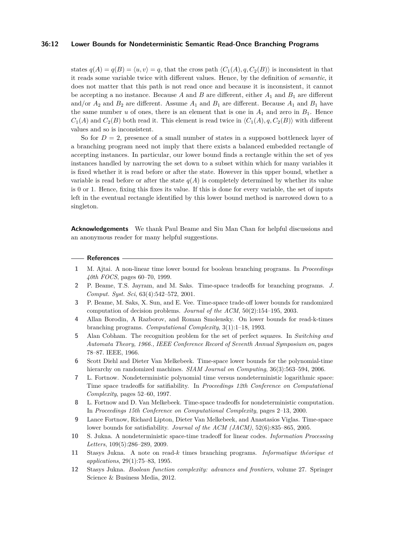## **36:12 Lower Bounds for Nondeterministic Semantic Read-Once Branching Programs**

states  $q(A) = q(B) = \langle u, v \rangle = q$ , that the cross path  $\langle C_1(A), q, C_2(B) \rangle$  is inconsistent in that it reads some variable twice with different values. Hence, by the definition of *semantic*, it does not matter that this path is not read once and because it is inconsistent, it cannot be accepting a no instance. Because  $A$  and  $B$  are different, either  $A_1$  and  $B_1$  are different and/or  $A_2$  and  $B_2$  are different. Assume  $A_1$  and  $B_1$  are different. Because  $A_1$  and  $B_1$  have the same number *u* of ones, there is an element that is one in  $A_1$  and zero in  $B_1$ . Hence  $C_1(A)$  and  $C_2(B)$  both read it. This element is read twice in  $\langle C_1(A), q, C_2(B) \rangle$  with different values and so is inconsistent.

So for  $D = 2$ , presence of a small number of states in a supposed bottleneck layer of a branching program need not imply that there exists a balanced embedded rectangle of accepting instances. In particular, our lower bound finds a rectangle within the set of yes instances handled by narrowing the set down to a subset within which for many variables it is fixed whether it is read before or after the state. However in this upper bound, whether a variable is read before or after the state  $q(A)$  is completely determined by whether its value is 0 or 1. Hence, fixing this fixes its value. If this is done for every variable, the set of inputs left in the eventual rectangle identified by this lower bound method is narrowed down to a singleton.

**Acknowledgements** We thank Paul Beame and Siu Man Chan for helpful discussions and an anonymous reader for many helpful suggestions.

#### **References**

- <span id="page-11-5"></span>**1** M. Ajtai. A non-linear time lower bound for boolean branching programs. In *Proceedings 40th FOCS*, pages 60–70, 1999.
- <span id="page-11-10"></span>**2** P. Beame, T.S. Jayram, and M. Saks. Time-space tradeoffs for branching programs. *J. Comput. Syst. Sci*, 63(4):542–572, 2001.
- <span id="page-11-6"></span>**3** P. Beame, M. Saks, X. Sun, and E. Vee. Time-space trade-off lower bounds for randomized computation of decision problems. *Journal of the ACM*, 50(2):154–195, 2003.
- <span id="page-11-8"></span>**4** Allan Borodin, A Razborov, and Roman Smolensky. On lower bounds for read-k-times branching programs. *Computational Complexity*, 3(1):1–18, 1993.
- <span id="page-11-4"></span>**5** Alan Cobham. The recognition problem for the set of perfect squares. In *Switching and Automata Theory, 1966., IEEE Conference Record of Seventh Annual Symposium on*, pages 78–87. IEEE, 1966.
- <span id="page-11-3"></span>**6** Scott Diehl and Dieter Van Melkebeek. Time-space lower bounds for the polynomial-time hierarchy on randomized machines. *SIAM Journal on Computing*, 36(3):563–594, 2006.
- <span id="page-11-0"></span>**7** L. Fortnow. Nondeterministic polynomial time versus nondeterministic logarithmic space: Time space tradeoffs for satifiability. In *Proceedings 12th Conference on Computational Complexity*, pages 52–60, 1997.
- <span id="page-11-1"></span>**8** L. Fortnow and D. Van Melkebeek. Time-space tradeoffs for nondeterministic computation. In *Proceedings 15th Conference on Computational Complexity*, pages 2–13, 2000.
- <span id="page-11-2"></span>**9** Lance Fortnow, Richard Lipton, Dieter Van Melkebeek, and Anastasios Viglas. Time-space lower bounds for satisfiability. *Journal of the ACM (JACM)*, 52(6):835–865, 2005.
- <span id="page-11-9"></span>**10** S. Jukna. A nondeterministic space-time tradeoff for linear codes. *Information Processing Letters*, 109(5):286–289, 2009.
- <span id="page-11-7"></span>**11** Stasys Jukna. A note on read-*k* times branching programs. *Informatique théorique et applications*, 29(1):75–83, 1995.
- <span id="page-11-11"></span>**12** Stasys Jukna. *Boolean function complexity: advances and frontiers*, volume 27. Springer Science & Business Media, 2012.